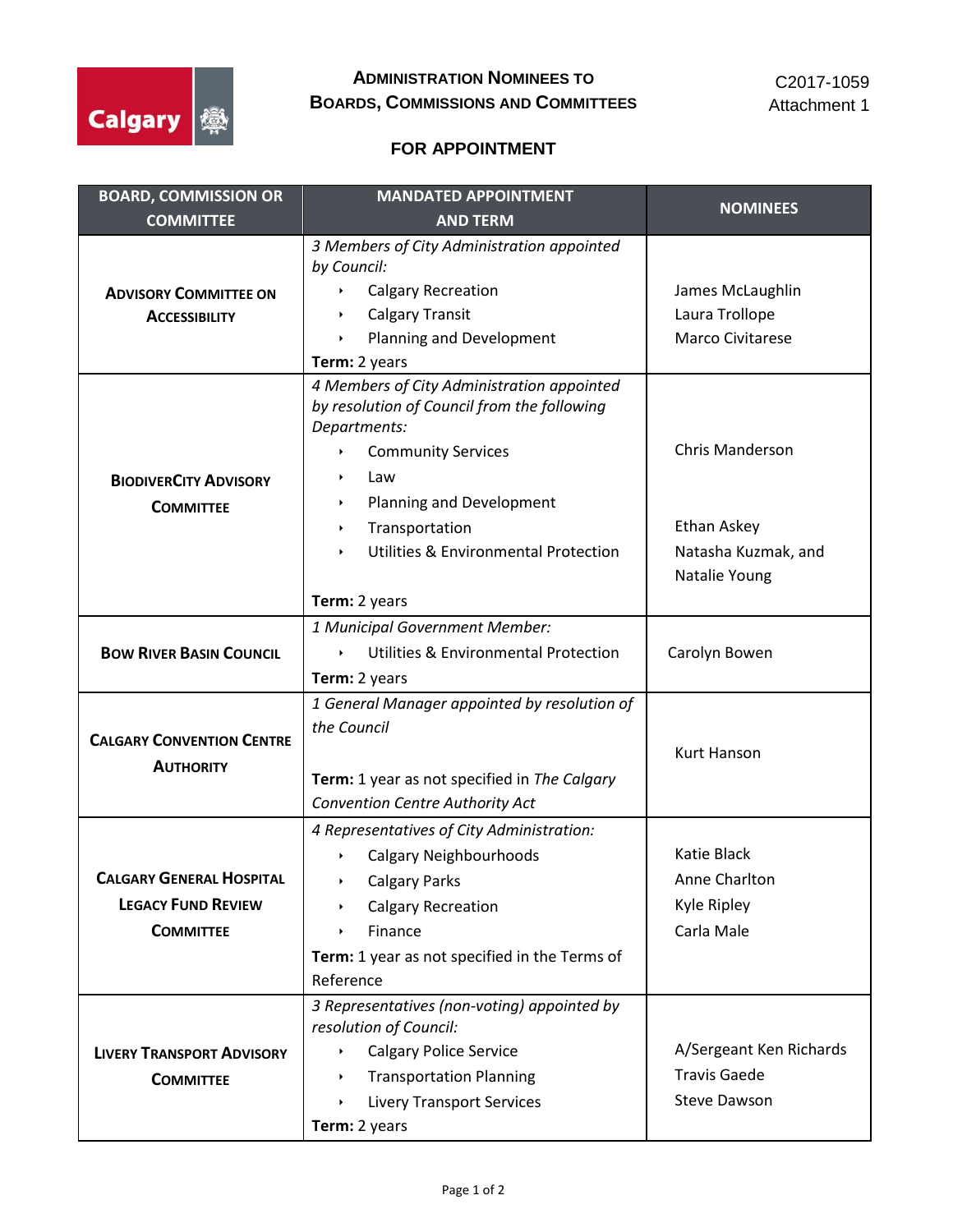

## **FOR APPOINTMENT**

| <b>BOARD, COMMISSION OR</b>      | <b>MANDATED APPOINTMENT</b>                                            | <b>NOMINEES</b>                      |
|----------------------------------|------------------------------------------------------------------------|--------------------------------------|
| <b>COMMITTEE</b>                 | <b>AND TERM</b>                                                        |                                      |
|                                  | 3 Members of City Administration appointed                             |                                      |
|                                  | by Council:                                                            |                                      |
| <b>ADVISORY COMMITTEE ON</b>     | <b>Calgary Recreation</b>                                              | James McLaughlin                     |
| <b>ACCESSIBILITY</b>             | <b>Calgary Transit</b>                                                 | Laura Trollope                       |
|                                  | Planning and Development                                               | Marco Civitarese                     |
|                                  | Term: 2 years                                                          |                                      |
|                                  | 4 Members of City Administration appointed                             |                                      |
|                                  | by resolution of Council from the following<br>Departments:            |                                      |
|                                  | <b>Community Services</b>                                              | <b>Chris Manderson</b>               |
|                                  | Law                                                                    |                                      |
| <b>BIODIVERCITY ADVISORY</b>     |                                                                        |                                      |
| <b>COMMITTEE</b>                 | Planning and Development<br>r                                          | Ethan Askey                          |
|                                  | Transportation<br>r<br><b>Utilities &amp; Environmental Protection</b> |                                      |
|                                  |                                                                        | Natasha Kuzmak, and<br>Natalie Young |
|                                  |                                                                        |                                      |
|                                  | Term: 2 years                                                          |                                      |
|                                  | 1 Municipal Government Member:                                         |                                      |
| <b>BOW RIVER BASIN COUNCIL</b>   | <b>Utilities &amp; Environmental Protection</b>                        | Carolyn Bowen                        |
|                                  | Term: 2 years                                                          |                                      |
|                                  | 1 General Manager appointed by resolution of                           |                                      |
| <b>CALGARY CONVENTION CENTRE</b> | the Council                                                            |                                      |
| <b>AUTHORITY</b>                 |                                                                        | <b>Kurt Hanson</b>                   |
|                                  | Term: 1 year as not specified in The Calgary                           |                                      |
|                                  | Convention Centre Authority Act                                        |                                      |
|                                  | 4 Representatives of City Administration:                              |                                      |
|                                  | <b>Calgary Neighbourhoods</b>                                          | Katie Black                          |
| <b>CALGARY GENERAL HOSPITAL</b>  | <b>Calgary Parks</b>                                                   | Anne Charlton                        |
| <b>LEGACY FUND REVIEW</b>        | <b>Calgary Recreation</b><br>r                                         | Kyle Ripley                          |
| <b>COMMITTEE</b>                 | Finance                                                                | Carla Male                           |
|                                  | Term: 1 year as not specified in the Terms of                          |                                      |
|                                  | Reference                                                              |                                      |
|                                  | 3 Representatives (non-voting) appointed by<br>resolution of Council:  |                                      |
| <b>LIVERY TRANSPORT ADVISORY</b> | <b>Calgary Police Service</b>                                          | A/Sergeant Ken Richards              |
|                                  | <b>Transportation Planning</b>                                         | <b>Travis Gaede</b>                  |
| <b>COMMITTEE</b>                 | <b>Livery Transport Services</b>                                       | <b>Steve Dawson</b>                  |
|                                  | Term: 2 years                                                          |                                      |
|                                  |                                                                        |                                      |